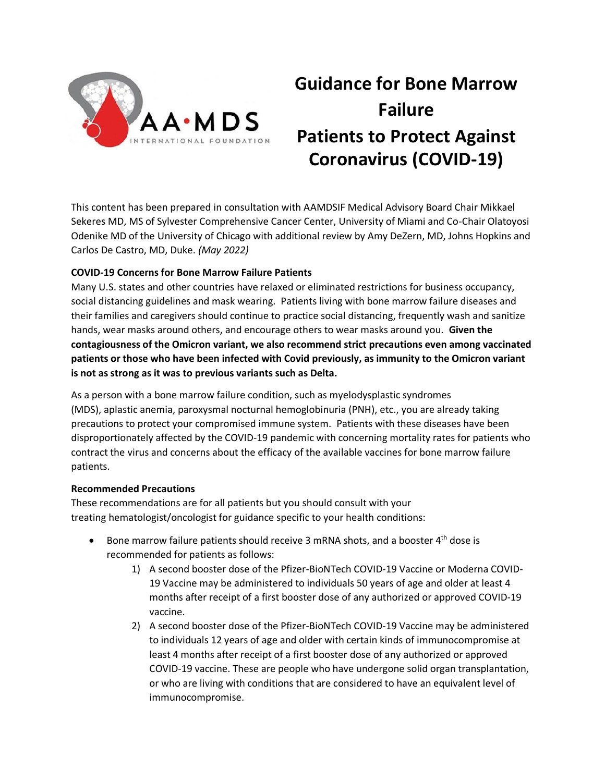

# **Guidance for Bone Marrow Failure Patients to Protect Against Coronavirus (COVID-19)**

This content has been prepared in consultation with AAMDSIF Medical Advisory Board Chair Mikkael Sekeres MD, MS of Sylvester Comprehensive Cancer Center, University of Miami and Co-Chair Olatoyosi Odenike MD of the University of Chicago with additional review by Amy DeZern, MD, Johns Hopkins and Carlos De Castro, MD, Duke. *(May 2022)*

## **COVID-19 Concerns for [Bone Marrow Failure](https://www.aamds.org/glossary/terms#bone_marrow_failure) Patients**

Many U.S. states and other countries have relaxed or eliminated restrictions for business occupancy, social distancing guidelines and mask wearing. Patients living with bone marrow failure diseases and their families and caregivers should continue to practice social distancing, frequently wash and sanitize hands, wear masks around others, and encourage others to wear masks around you. **Given the contagiousness of the Omicron variant, we also recommend strict precautions even among vaccinated patients or those who have been infected with Covid previously, as immunity to the Omicron variant is not as strong as it was to previous variants such as Delta.**

As a person with a bone marrow failure condition, such as myelodysplastic syndromes (MDS), aplastic [anemia,](https://www.aamds.org/glossary/terms#anemia) [paroxysmal nocturnal hemoglobinuria](https://www.aamds.org/glossary/terms#paroxysmal_nocturnal_hemoglobinuria) (PNH), etc., you are already taking precautions to protect your compromised immune system. Patients with these diseases have been disproportionately affected by the COVID-19 pandemic with concerning mortality rates for patients who contract the virus and concerns about the efficacy of the available vaccines for bone marrow failure patients.

### **Recommended Precautions**

These recommendations are for all patients but you should consult with your treating [hematologist](https://www.aamds.org/glossary/terms#hematologist)[/oncologist](https://www.aamds.org/glossary/terms#oncologist) for guidance specific to your health conditions:

- Bone marrow failure patients should receive 3 mRNA shots, and a booster  $4^{th}$  dose is recommended for patients as follows:
	- 1) A second booster dose of the Pfizer-BioNTech COVID-19 Vaccine or Moderna COVID-19 Vaccine may be administered to individuals 50 years of age and older at least 4 months after receipt of a first booster dose of any authorized or approved COVID-19 vaccine.
	- 2) A second booster dose of the Pfizer-BioNTech COVID-19 Vaccine may be administered to individuals 12 years of age and older with certain kinds of immunocompromise at least 4 months after receipt of a first booster dose of any authorized or approved COVID-19 vaccine. These are people who have undergone solid organ transplantation, or who are living with conditions that are considered to have an equivalent level of immunocompromise.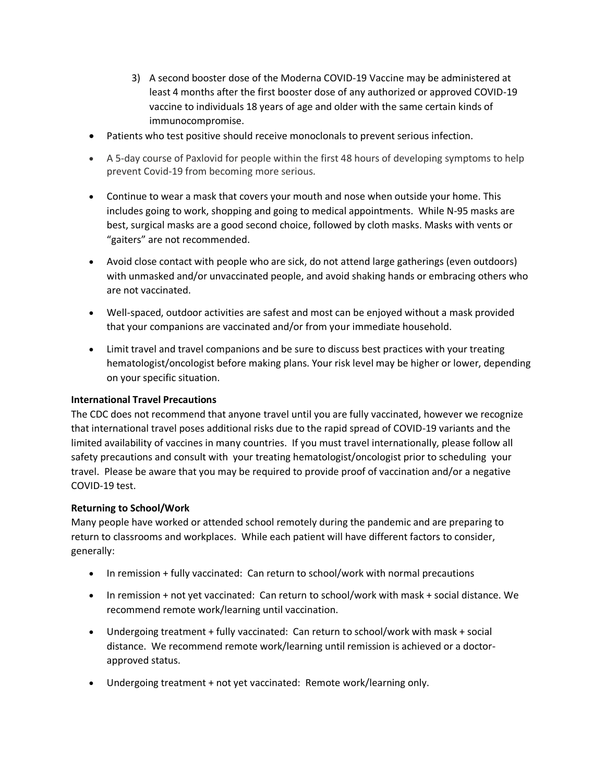- 3) A second booster dose of the Moderna COVID-19 Vaccine may be administered at least 4 months after the first booster dose of any authorized or approved COVID-19 vaccine to individuals 18 years of age and older with the same certain kinds of immunocompromise.
- Patients who test positive should receive monoclonals to prevent serious infection.
- A 5-day course of Paxlovid for people within the first 48 hours of developing symptoms to help prevent Covid-19 from becoming more serious.
- Continue to wear a mask that covers your mouth and nose when outside your home. This includes going to work, shopping and going to medical appointments. While N-95 masks are best, surgical masks are a good second choice, followed by cloth masks. Masks with vents or "gaiters" are not recommended.
- Avoid close contact with people who are sick, do not attend large gatherings (even outdoors) with unmasked and/or unvaccinated people, and avoid shaking hands or embracing others who are not vaccinated.
- Well-spaced, outdoor activities are safest and most can be enjoyed without a mask provided that your companions are vaccinated and/or from your immediate household.
- Limit travel and travel companions and be sure to discuss best practices with your treating hematologist/oncologist before making plans. Your risk level may be higher or lower, depending on your specific situation.

## **International Travel Precautions**

The CDC does not recommend that anyone travel until you are fully vaccinated, however we recognize that international travel poses additional risks due to the rapid spread of COVID-19 variants and the limited availability of vaccines in many countries. If you must travel internationally, please follow all safety precautions and consult with your treating hematologist/oncologist prior to scheduling your travel. Please be aware that you may be required to provide proof of vaccination and/or a negative COVID-19 test.

## **Returning to School/Work**

Many people have worked or attended school remotely during the pandemic and are preparing to return to classrooms and workplaces. While each patient will have different factors to consider, generally:

- In remission + fully vaccinated: Can return to school/work with normal precautions
- In remission + not yet vaccinated: Can return to school/work with mask + social distance. We recommend remote work/learning until vaccination.
- Undergoing treatment + fully vaccinated: Can return to school/work with mask + social distance. We recommend remote work/learning until remission is achieved or a doctorapproved status.
- Undergoing treatment + not yet vaccinated: Remote work/learning only.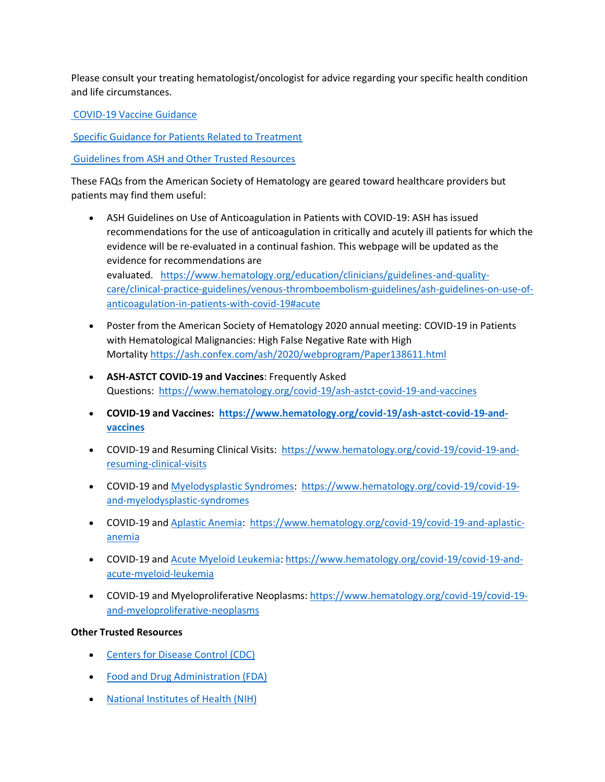Please consult your treating hematologist/oncologist for advice regarding your specific health condition and life circumstances.

COVID-19 Vaccine Guidance

Specific Guidance for Patients Related to Treatment

Guidelines from ASH and Other Trusted Resources

These FAQs from the American Society of Hematology are geared toward healthcare providers but patients may find them useful:

- ASH Guidelines on Use of Anticoagulation in Patients with COVID-19: ASH has issued recommendations for the use of anticoagulation in critically and acutely ill patients for which the evidence will be re-evaluated in a continual fashion. This webpage will be updated as the evidence for recommendations are evaluated. https://www.hematology.org/education/clinicians/guidelines-and-qualitycare/clinical-practice-guidelines/venous-thromboembolism-guidelines/ash-guidelines-on-use-ofanticoagulation-in-patients-with-covid-19#acute
- Poster from the American Society of Hematology 2020 annual meeting: COVID-19 in Patients with Hematological Malignancies: High False Negative Rate with High Mortality https://ash.confex.com/ash/2020/webprogram/Paper138611.html
- **ASH-ASTCT COVID-19 and Vaccines**: Frequently Asked Questions: https://www.hematology.org/covid-19/ash-astct-covid-19-and-vaccines
- **COVID-19 and Vaccines: https://www.hematology.org/covid-19/ash-astct-covid-19-andvaccines**
- COVID-19 and Resuming Clinical Visits: https://www.hematology.org/covid-19/covid-19-andresuming-clinical-visits
- COVID-19 and Myelodysplastic Syndromes: https://www.hematology.org/covid-19/covid-19 and-myelodysplastic-syndromes
- COVID-19 and Aplastic Anemia: https://www.hematology.org/covid-19/covid-19-and-aplasticanemia
- COVID-19 and Acute Myeloid Leukemia: https://www.hematology.org/covid-19/covid-19-andacute-myeloid-leukemia
- COVID-19 and Myeloproliferative Neoplasms: https://www.hematology.org/covid-19/covid-19 and-myeloproliferative-neoplasms

## **Other Trusted Resources**

- Centers for Disease Control (CDC)
- Food and Drug Administration (FDA)
- National Institutes of Health (NIH)